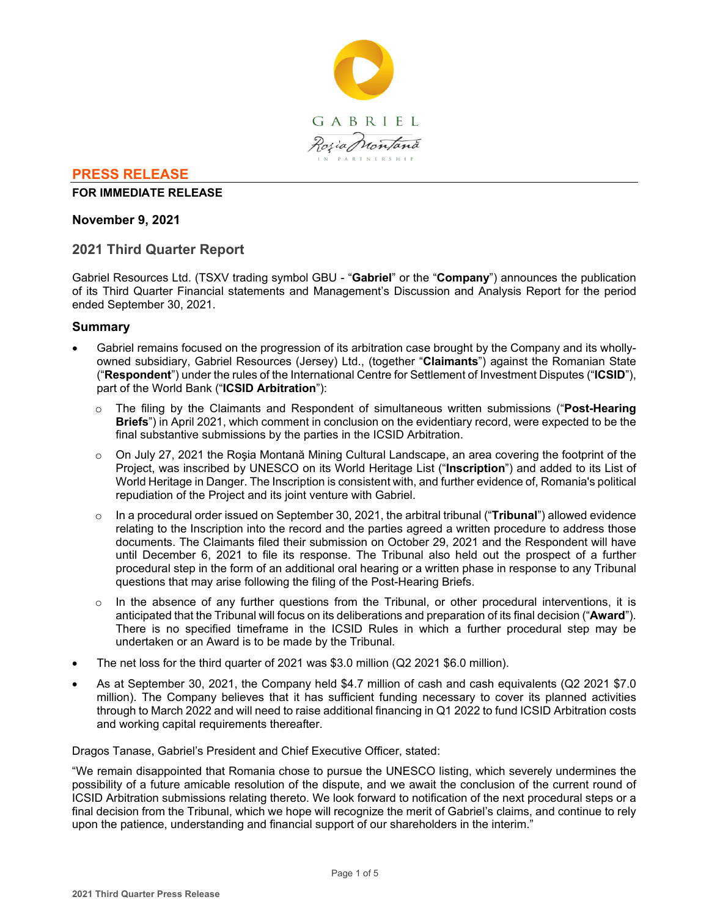

# **PRESS RELEASE**

#### **FOR IMMEDIATE RELEASE**

### **November 9, 2021**

## **2021 Third Quarter Report**

Gabriel Resources Ltd. (TSXV trading symbol GBU - "**Gabriel**" or the "**Company**") announces the publication of its Third Quarter Financial statements and Management's Discussion and Analysis Report for the period ended September 30, 2021.

## **Summary**

- Gabriel remains focused on the progression of its arbitration case brought by the Company and its whollyowned subsidiary, Gabriel Resources (Jersey) Ltd., (together "**Claimants**") against the Romanian State ("**Respondent**") under the rules of the International Centre for Settlement of Investment Disputes ("**ICSID**"), part of the World Bank ("**ICSID Arbitration**"):
	- o The filing by the Claimants and Respondent of simultaneous written submissions ("**Post-Hearing Briefs**") in April 2021, which comment in conclusion on the evidentiary record, were expected to be the final substantive submissions by the parties in the ICSID Arbitration.
	- $\circ$  On July 27, 2021 the Rosia Montană Mining Cultural Landscape, an area covering the footprint of the Project, was inscribed by UNESCO on its World Heritage List ("**Inscription**") and added to its List of World Heritage in Danger. The Inscription is consistent with, and further evidence of, Romania's political repudiation of the Project and its joint venture with Gabriel.
	- o In a procedural order issued on September 30, 2021, the arbitral tribunal ("**Tribunal**") allowed evidence relating to the Inscription into the record and the parties agreed a written procedure to address those documents. The Claimants filed their submission on October 29, 2021 and the Respondent will have until December 6, 2021 to file its response. The Tribunal also held out the prospect of a further procedural step in the form of an additional oral hearing or a written phase in response to any Tribunal questions that may arise following the filing of the Post-Hearing Briefs.
	- $\circ$  In the absence of any further questions from the Tribunal, or other procedural interventions, it is anticipated that the Tribunal will focus on its deliberations and preparation of its final decision ("**Award**"). There is no specified timeframe in the ICSID Rules in which a further procedural step may be undertaken or an Award is to be made by the Tribunal.
- The net loss for the third quarter of 2021 was \$3.0 million (Q2 2021 \$6.0 million).
- As at September 30, 2021, the Company held \$4.7 million of cash and cash equivalents (Q2 2021 \$7.0 million). The Company believes that it has sufficient funding necessary to cover its planned activities through to March 2022 and will need to raise additional financing in Q1 2022 to fund ICSID Arbitration costs and working capital requirements thereafter.

Dragos Tanase, Gabriel's President and Chief Executive Officer, stated:

"We remain disappointed that Romania chose to pursue the UNESCO listing, which severely undermines the possibility of a future amicable resolution of the dispute, and we await the conclusion of the current round of ICSID Arbitration submissions relating thereto. We look forward to notification of the next procedural steps or a final decision from the Tribunal, which we hope will recognize the merit of Gabriel's claims, and continue to rely upon the patience, understanding and financial support of our shareholders in the interim."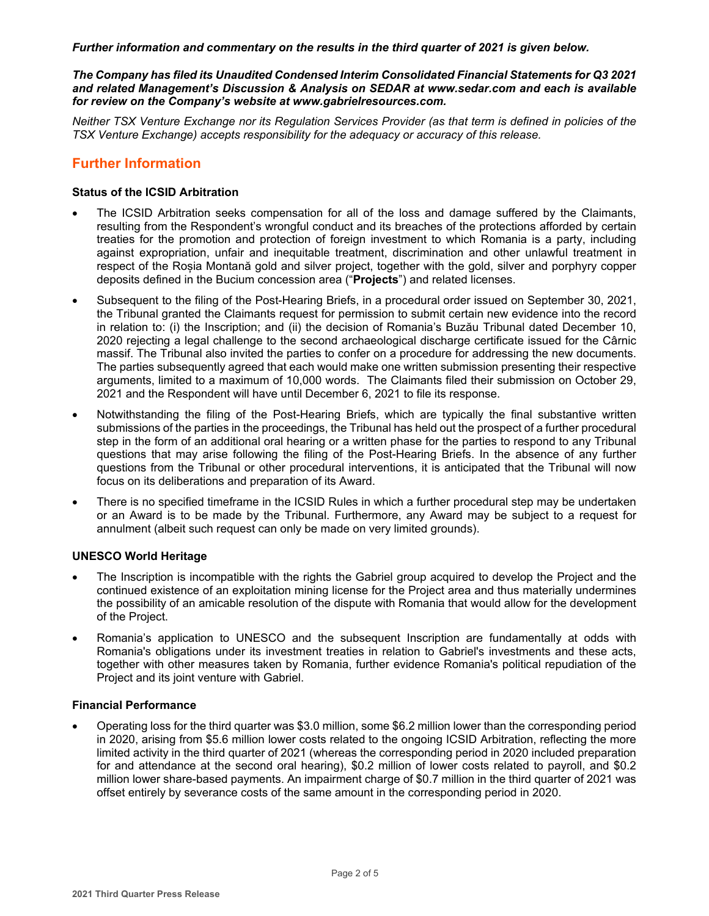*Further information and commentary on the results in the third quarter of 2021 is given below.* 

*The Company has filed its Unaudited Condensed Interim Consolidated Financial Statements for Q3 2021 and related Management's Discussion & Analysis on SEDAR at www.sedar.com and each is available for review on the Company's website at www.gabrielresources.com.* 

*Neither TSX Venture Exchange nor its Regulation Services Provider (as that term is defined in policies of the TSX Venture Exchange) accepts responsibility for the adequacy or accuracy of this release.*

## **Further Information**

#### **Status of the ICSID Arbitration**

- The ICSID Arbitration seeks compensation for all of the loss and damage suffered by the Claimants, resulting from the Respondent's wrongful conduct and its breaches of the protections afforded by certain treaties for the promotion and protection of foreign investment to which Romania is a party, including against expropriation, unfair and inequitable treatment, discrimination and other unlawful treatment in respect of the Roșia Montană gold and silver project, together with the gold, silver and porphyry copper deposits defined in the Bucium concession area ("**Projects**") and related licenses.
- Subsequent to the filing of the Post-Hearing Briefs, in a procedural order issued on September 30, 2021, the Tribunal granted the Claimants request for permission to submit certain new evidence into the record in relation to: (i) the Inscription; and (ii) the decision of Romania's Buzău Tribunal dated December 10, 2020 rejecting a legal challenge to the second archaeological discharge certificate issued for the Cârnic massif. The Tribunal also invited the parties to confer on a procedure for addressing the new documents. The parties subsequently agreed that each would make one written submission presenting their respective arguments, limited to a maximum of 10,000 words. The Claimants filed their submission on October 29, 2021 and the Respondent will have until December 6, 2021 to file its response.
- Notwithstanding the filing of the Post-Hearing Briefs, which are typically the final substantive written submissions of the parties in the proceedings, the Tribunal has held out the prospect of a further procedural step in the form of an additional oral hearing or a written phase for the parties to respond to any Tribunal questions that may arise following the filing of the Post-Hearing Briefs. In the absence of any further questions from the Tribunal or other procedural interventions, it is anticipated that the Tribunal will now focus on its deliberations and preparation of its Award.
- There is no specified timeframe in the ICSID Rules in which a further procedural step may be undertaken or an Award is to be made by the Tribunal. Furthermore, any Award may be subject to a request for annulment (albeit such request can only be made on very limited grounds).

#### **UNESCO World Heritage**

- The Inscription is incompatible with the rights the Gabriel group acquired to develop the Project and the continued existence of an exploitation mining license for the Project area and thus materially undermines the possibility of an amicable resolution of the dispute with Romania that would allow for the development of the Project.
- Romania's application to UNESCO and the subsequent Inscription are fundamentally at odds with Romania's obligations under its investment treaties in relation to Gabriel's investments and these acts, together with other measures taken by Romania, further evidence Romania's political repudiation of the Project and its joint venture with Gabriel.

#### **Financial Performance**

• Operating loss for the third quarter was \$3.0 million, some \$6.2 million lower than the corresponding period in 2020, arising from \$5.6 million lower costs related to the ongoing ICSID Arbitration, reflecting the more limited activity in the third quarter of 2021 (whereas the corresponding period in 2020 included preparation for and attendance at the second oral hearing), \$0.2 million of lower costs related to payroll, and \$0.2 million lower share-based payments. An impairment charge of \$0.7 million in the third quarter of 2021 was offset entirely by severance costs of the same amount in the corresponding period in 2020.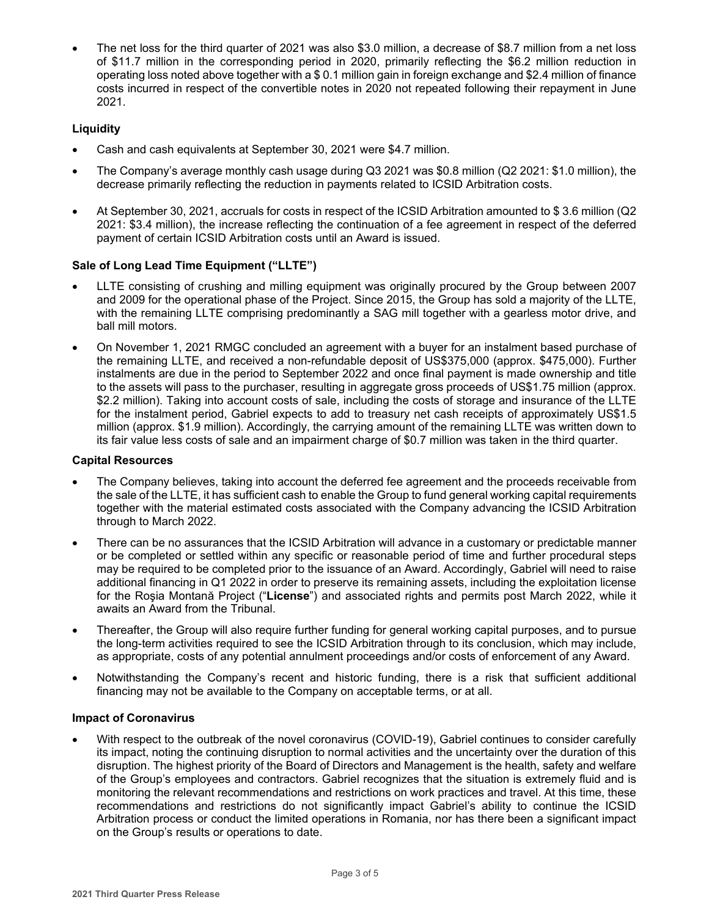• The net loss for the third quarter of 2021 was also \$3.0 million, a decrease of \$8.7 million from a net loss of \$11.7 million in the corresponding period in 2020, primarily reflecting the \$6.2 million reduction in operating loss noted above together with a \$ 0.1 million gain in foreign exchange and \$2.4 million of finance costs incurred in respect of the convertible notes in 2020 not repeated following their repayment in June 2021.

## **Liquidity**

- Cash and cash equivalents at September 30, 2021 were \$4.7 million.
- The Company's average monthly cash usage during Q3 2021 was \$0.8 million (Q2 2021: \$1.0 million), the decrease primarily reflecting the reduction in payments related to ICSID Arbitration costs.
- At September 30, 2021, accruals for costs in respect of the ICSID Arbitration amounted to \$ 3.6 million (Q2 2021: \$3.4 million), the increase reflecting the continuation of a fee agreement in respect of the deferred payment of certain ICSID Arbitration costs until an Award is issued.

## **Sale of Long Lead Time Equipment ("LLTE")**

- LLTE consisting of crushing and milling equipment was originally procured by the Group between 2007 and 2009 for the operational phase of the Project. Since 2015, the Group has sold a majority of the LLTE, with the remaining LLTE comprising predominantly a SAG mill together with a gearless motor drive, and ball mill motors.
- On November 1, 2021 RMGC concluded an agreement with a buyer for an instalment based purchase of the remaining LLTE, and received a non-refundable deposit of US\$375,000 (approx. \$475,000). Further instalments are due in the period to September 2022 and once final payment is made ownership and title to the assets will pass to the purchaser, resulting in aggregate gross proceeds of US\$1.75 million (approx. \$2.2 million). Taking into account costs of sale, including the costs of storage and insurance of the LLTE for the instalment period, Gabriel expects to add to treasury net cash receipts of approximately US\$1.5 million (approx. \$1.9 million). Accordingly, the carrying amount of the remaining LLTE was written down to its fair value less costs of sale and an impairment charge of \$0.7 million was taken in the third quarter.

#### **Capital Resources**

- The Company believes, taking into account the deferred fee agreement and the proceeds receivable from the sale of the LLTE, it has sufficient cash to enable the Group to fund general working capital requirements together with the material estimated costs associated with the Company advancing the ICSID Arbitration through to March 2022.
- There can be no assurances that the ICSID Arbitration will advance in a customary or predictable manner or be completed or settled within any specific or reasonable period of time and further procedural steps may be required to be completed prior to the issuance of an Award. Accordingly, Gabriel will need to raise additional financing in Q1 2022 in order to preserve its remaining assets, including the exploitation license for the Roşia Montană Project ("**License**") and associated rights and permits post March 2022, while it awaits an Award from the Tribunal.
- Thereafter, the Group will also require further funding for general working capital purposes, and to pursue the long-term activities required to see the ICSID Arbitration through to its conclusion, which may include, as appropriate, costs of any potential annulment proceedings and/or costs of enforcement of any Award.
- Notwithstanding the Company's recent and historic funding, there is a risk that sufficient additional financing may not be available to the Company on acceptable terms, or at all.

#### **Impact of Coronavirus**

• With respect to the outbreak of the novel coronavirus (COVID-19), Gabriel continues to consider carefully its impact, noting the continuing disruption to normal activities and the uncertainty over the duration of this disruption. The highest priority of the Board of Directors and Management is the health, safety and welfare of the Group's employees and contractors. Gabriel recognizes that the situation is extremely fluid and is monitoring the relevant recommendations and restrictions on work practices and travel. At this time, these recommendations and restrictions do not significantly impact Gabriel's ability to continue the ICSID Arbitration process or conduct the limited operations in Romania, nor has there been a significant impact on the Group's results or operations to date.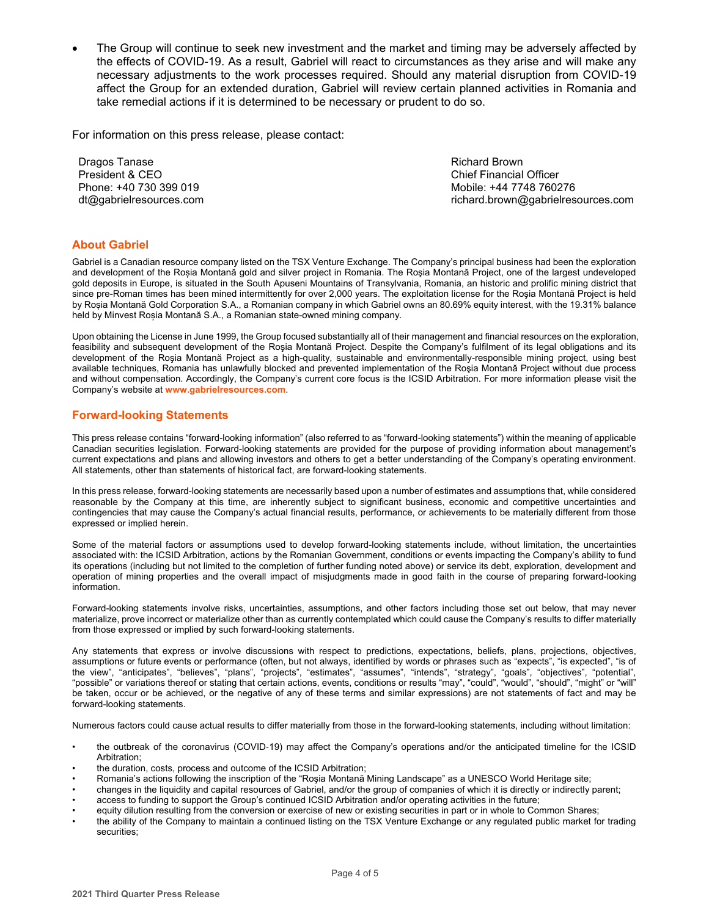• The Group will continue to seek new investment and the market and timing may be adversely affected by the effects of COVID-19. As a result, Gabriel will react to circumstances as they arise and will make any necessary adjustments to the work processes required. Should any material disruption from COVID-19 affect the Group for an extended duration, Gabriel will review certain planned activities in Romania and take remedial actions if it is determined to be necessary or prudent to do so.

For information on this press release, please contact:

Dragos Tanase President & CEO Phone: +40 730 399 019 dt@gabrielresources.com Richard Brown Chief Financial Officer Mobile: +44 7748 760276 richard.brown@gabrielresources.com

#### **About Gabriel**

Gabriel is a Canadian resource company listed on the TSX Venture Exchange. The Company's principal business had been the exploration and development of the Roșia Montană gold and silver project in Romania. The Roşia Montană Project, one of the largest undeveloped gold deposits in Europe, is situated in the South Apuseni Mountains of Transylvania, Romania, an historic and prolific mining district that since pre-Roman times has been mined intermittently for over 2,000 years. The exploitation license for the Roşia Montană Project is held by Roșia Montană Gold Corporation S.A., a Romanian company in which Gabriel owns an 80.69% equity interest, with the 19.31% balance held by Minvest Roșia Montană S.A., a Romanian state-owned mining company.

Upon obtaining the License in June 1999, the Group focused substantially all of their management and financial resources on the exploration, feasibility and subsequent development of the Roşia Montană Project. Despite the Company's fulfilment of its legal obligations and its development of the Roşia Montană Project as a high-quality, sustainable and environmentally-responsible mining project, using best available techniques, Romania has unlawfully blocked and prevented implementation of the Roşia Montană Project without due process and without compensation. Accordingly, the Company's current core focus is the ICSID Arbitration. For more information please visit the Company's website at **www.gabrielresources.com**.

#### **Forward-looking Statements**

This press release contains "forward-looking information" (also referred to as "forward-looking statements") within the meaning of applicable Canadian securities legislation. Forward-looking statements are provided for the purpose of providing information about management's current expectations and plans and allowing investors and others to get a better understanding of the Company's operating environment. All statements, other than statements of historical fact, are forward-looking statements.

In this press release, forward-looking statements are necessarily based upon a number of estimates and assumptions that, while considered reasonable by the Company at this time, are inherently subject to significant business, economic and competitive uncertainties and contingencies that may cause the Company's actual financial results, performance, or achievements to be materially different from those expressed or implied herein.

Some of the material factors or assumptions used to develop forward-looking statements include, without limitation, the uncertainties associated with: the ICSID Arbitration, actions by the Romanian Government, conditions or events impacting the Company's ability to fund its operations (including but not limited to the completion of further funding noted above) or service its debt, exploration, development and operation of mining properties and the overall impact of misjudgments made in good faith in the course of preparing forward-looking information.

Forward-looking statements involve risks, uncertainties, assumptions, and other factors including those set out below, that may never materialize, prove incorrect or materialize other than as currently contemplated which could cause the Company's results to differ materially from those expressed or implied by such forward-looking statements.

Any statements that express or involve discussions with respect to predictions, expectations, beliefs, plans, projections, objectives, assumptions or future events or performance (often, but not always, identified by words or phrases such as "expects", "is expected", "is of the view", "anticipates", "believes", "plans", "projects", "estimates", "assumes", "intends", "strategy", "goals", "objectives", "potential", "possible" or variations thereof or stating that certain actions, events, conditions or results "may", "could", "would", "should", "might" or "will" be taken, occur or be achieved, or the negative of any of these terms and similar expressions) are not statements of fact and may be forward-looking statements.

Numerous factors could cause actual results to differ materially from those in the forward-looking statements, including without limitation:

- the outbreak of the coronavirus (COVID‐19) may affect the Company's operations and/or the anticipated timeline for the ICSID Arbitration;
- the duration, costs, process and outcome of the ICSID Arbitration;
- Romania's actions following the inscription of the "Roşia Montană Mining Landscape" as a UNESCO World Heritage site;
- changes in the liquidity and capital resources of Gabriel, and/or the group of companies of which it is directly or indirectly parent;
- access to funding to support the Group's continued ICSID Arbitration and/or operating activities in the future;
- equity dilution resulting from the conversion or exercise of new or existing securities in part or in whole to Common Shares; • the ability of the Company to maintain a continued listing on the TSX Venture Exchange or any regulated public market for trading securities;